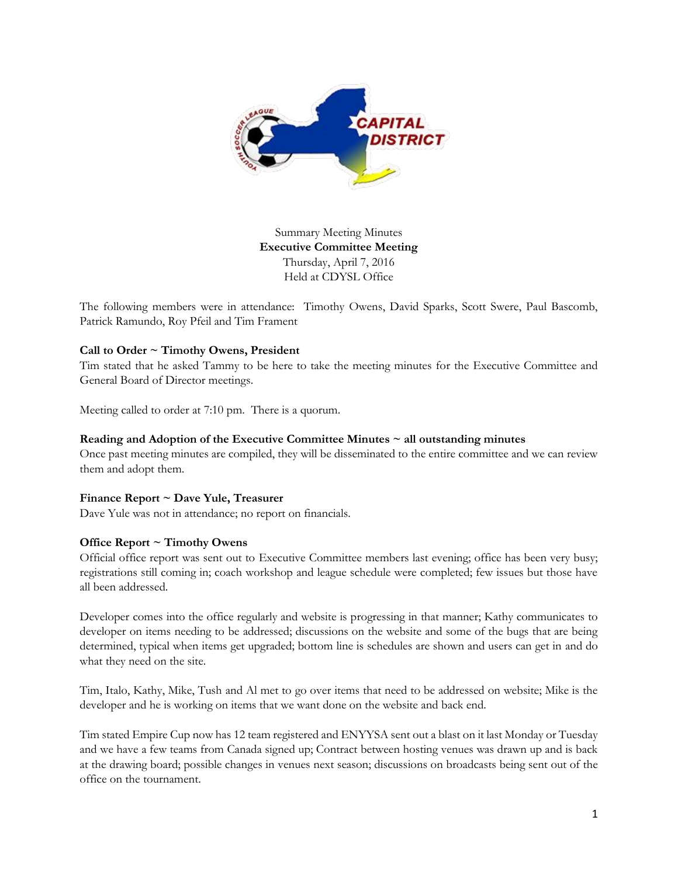

Summary Meeting Minutes **Executive Committee Meeting** Thursday, April 7, 2016 Held at CDYSL Office

The following members were in attendance: Timothy Owens, David Sparks, Scott Swere, Paul Bascomb, Patrick Ramundo, Roy Pfeil and Tim Frament

# **Call to Order ~ Timothy Owens, President**

Tim stated that he asked Tammy to be here to take the meeting minutes for the Executive Committee and General Board of Director meetings.

Meeting called to order at 7:10 pm. There is a quorum.

#### **Reading and Adoption of the Executive Committee Minutes ~ all outstanding minutes**

Once past meeting minutes are compiled, they will be disseminated to the entire committee and we can review them and adopt them.

# **Finance Report ~ Dave Yule, Treasurer**

Dave Yule was not in attendance; no report on financials.

#### **Office Report ~ Timothy Owens**

Official office report was sent out to Executive Committee members last evening; office has been very busy; registrations still coming in; coach workshop and league schedule were completed; few issues but those have all been addressed.

Developer comes into the office regularly and website is progressing in that manner; Kathy communicates to developer on items needing to be addressed; discussions on the website and some of the bugs that are being determined, typical when items get upgraded; bottom line is schedules are shown and users can get in and do what they need on the site.

Tim, Italo, Kathy, Mike, Tush and Al met to go over items that need to be addressed on website; Mike is the developer and he is working on items that we want done on the website and back end.

Tim stated Empire Cup now has 12 team registered and ENYYSA sent out a blast on it last Monday or Tuesday and we have a few teams from Canada signed up; Contract between hosting venues was drawn up and is back at the drawing board; possible changes in venues next season; discussions on broadcasts being sent out of the office on the tournament.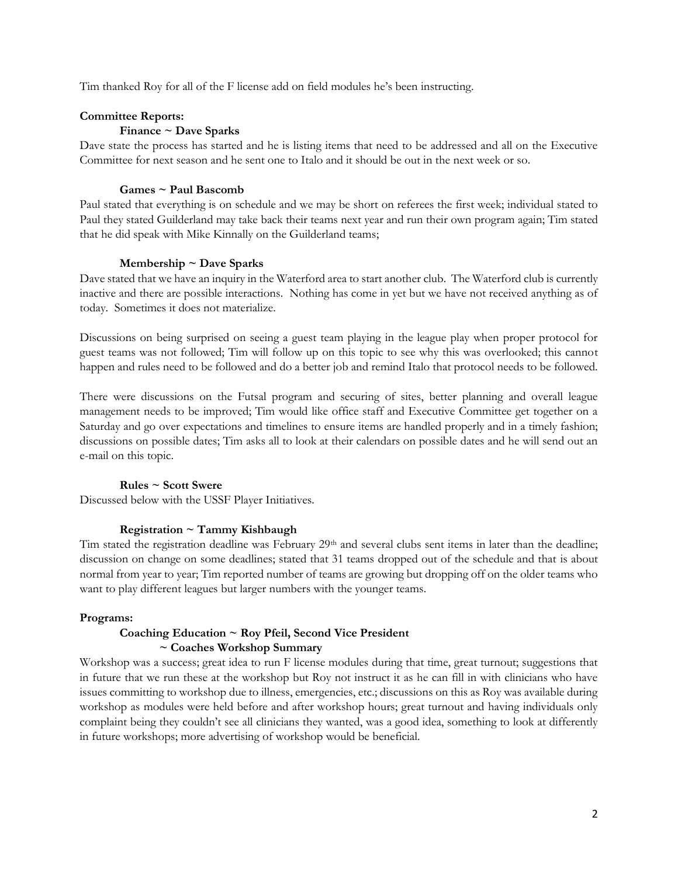Tim thanked Roy for all of the F license add on field modules he's been instructing.

#### **Committee Reports:**

# **Finance ~ Dave Sparks**

Dave state the process has started and he is listing items that need to be addressed and all on the Executive Committee for next season and he sent one to Italo and it should be out in the next week or so.

#### **Games ~ Paul Bascomb**

Paul stated that everything is on schedule and we may be short on referees the first week; individual stated to Paul they stated Guilderland may take back their teams next year and run their own program again; Tim stated that he did speak with Mike Kinnally on the Guilderland teams;

#### **Membership ~ Dave Sparks**

Dave stated that we have an inquiry in the Waterford area to start another club. The Waterford club is currently inactive and there are possible interactions. Nothing has come in yet but we have not received anything as of today. Sometimes it does not materialize.

Discussions on being surprised on seeing a guest team playing in the league play when proper protocol for guest teams was not followed; Tim will follow up on this topic to see why this was overlooked; this cannot happen and rules need to be followed and do a better job and remind Italo that protocol needs to be followed.

There were discussions on the Futsal program and securing of sites, better planning and overall league management needs to be improved; Tim would like office staff and Executive Committee get together on a Saturday and go over expectations and timelines to ensure items are handled properly and in a timely fashion; discussions on possible dates; Tim asks all to look at their calendars on possible dates and he will send out an e-mail on this topic.

# **Rules ~ Scott Swere**

Discussed below with the USSF Player Initiatives.

# **Registration ~ Tammy Kishbaugh**

Tim stated the registration deadline was February  $29<sup>th</sup>$  and several clubs sent items in later than the deadline; discussion on change on some deadlines; stated that 31 teams dropped out of the schedule and that is about normal from year to year; Tim reported number of teams are growing but dropping off on the older teams who want to play different leagues but larger numbers with the younger teams.

# **Programs:**

# **Coaching Education ~ Roy Pfeil, Second Vice President ~ Coaches Workshop Summary**

Workshop was a success; great idea to run F license modules during that time, great turnout; suggestions that in future that we run these at the workshop but Roy not instruct it as he can fill in with clinicians who have issues committing to workshop due to illness, emergencies, etc.; discussions on this as Roy was available during workshop as modules were held before and after workshop hours; great turnout and having individuals only complaint being they couldn't see all clinicians they wanted, was a good idea, something to look at differently in future workshops; more advertising of workshop would be beneficial.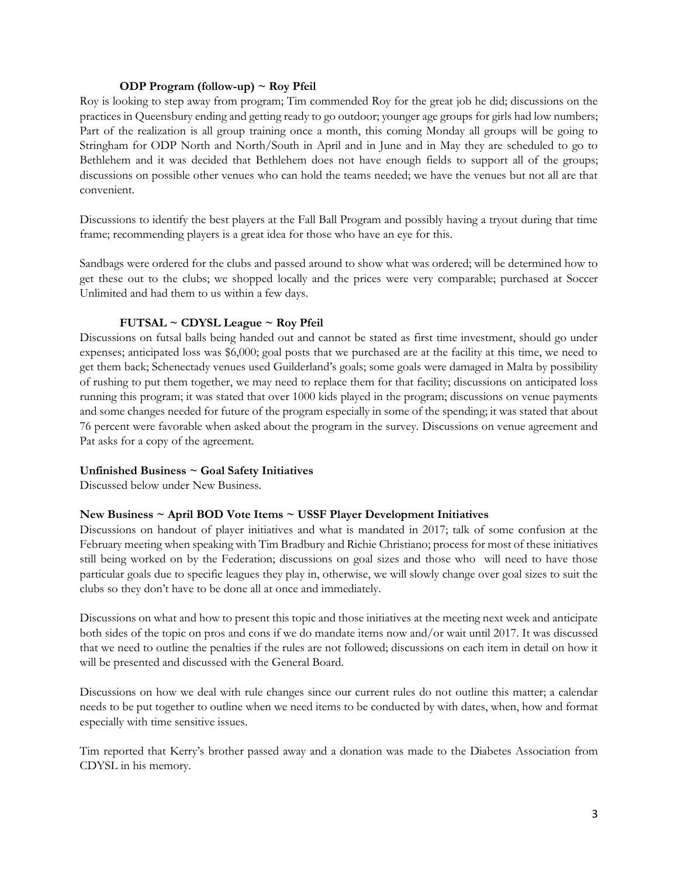#### **ODP Program (follow-up) ~ Roy Pfeil**

Roy is looking to step away from program; Tim commended Roy for the great job he did; discussions on the practices in Queensbury ending and getting ready to go outdoor; younger age groups for girls had low numbers; Part of the realization is all group training once a month, this coming Monday all groups will be going to Stringham for ODP North and North/South in April and in June and in May they are scheduled to go to Bethlehem and it was decided that Bethlehem does not have enough fields to support all of the groups; discussions on possible other venues who can hold the teams needed; we have the venues but not all are that convenient.

Discussions to identify the best players at the Fall Ball Program and possibly having a tryout during that time frame; recommending players is a great idea for those who have an eye for this.

Sandbags were ordered for the clubs and passed around to show what was ordered; will be determined how to get these out to the clubs; we shopped locally and the prices were very comparable; purchased at Soccer Unlimited and had them to us within a few days.

# **FUTSAL ~ CDYSL League ~ Roy Pfeil**

Discussions on futsal balls being handed out and cannot be stated as first time investment, should go under expenses; anticipated loss was \$6,000; goal posts that we purchased are at the facility at this time, we need to get them back; Schenectady venues used Guilderland's goals; some goals were damaged in Malta by possibility of rushing to put them together, we may need to replace them for that facility; discussions on anticipated loss running this program; it was stated that over 1000 kids played in the program; discussions on venue payments and some changes needed for future of the program especially in some of the spending; it was stated that about 76 percent were favorable when asked about the program in the survey. Discussions on venue agreement and Pat asks for a copy of the agreement.

# **Unfinished Business ~ Goal Safety Initiatives**

Discussed below under New Business.

# **New Business ~ April BOD Vote Items ~ USSF Player Development Initiatives**

Discussions on handout of player initiatives and what is mandated in 2017; talk of some confusion at the February meeting when speaking with Tim Bradbury and Richie Christiano; process for most of these initiatives still being worked on by the Federation; discussions on goal sizes and those who will need to have those particular goals due to specific leagues they play in, otherwise, we will slowly change over goal sizes to suit the clubs so they don't have to be done all at once and immediately.

Discussions on what and how to present this topic and those initiatives at the meeting next week and anticipate both sides of the topic on pros and cons if we do mandate items now and/or wait until 2017. It was discussed that we need to outline the penalties if the rules are not followed; discussions on each item in detail on how it will be presented and discussed with the General Board.

Discussions on how we deal with rule changes since our current rules do not outline this matter; a calendar needs to be put together to outline when we need items to be conducted by with dates, when, how and format especially with time sensitive issues.

Tim reported that Kerry's brother passed away and a donation was made to the Diabetes Association from CDYSL in his memory.